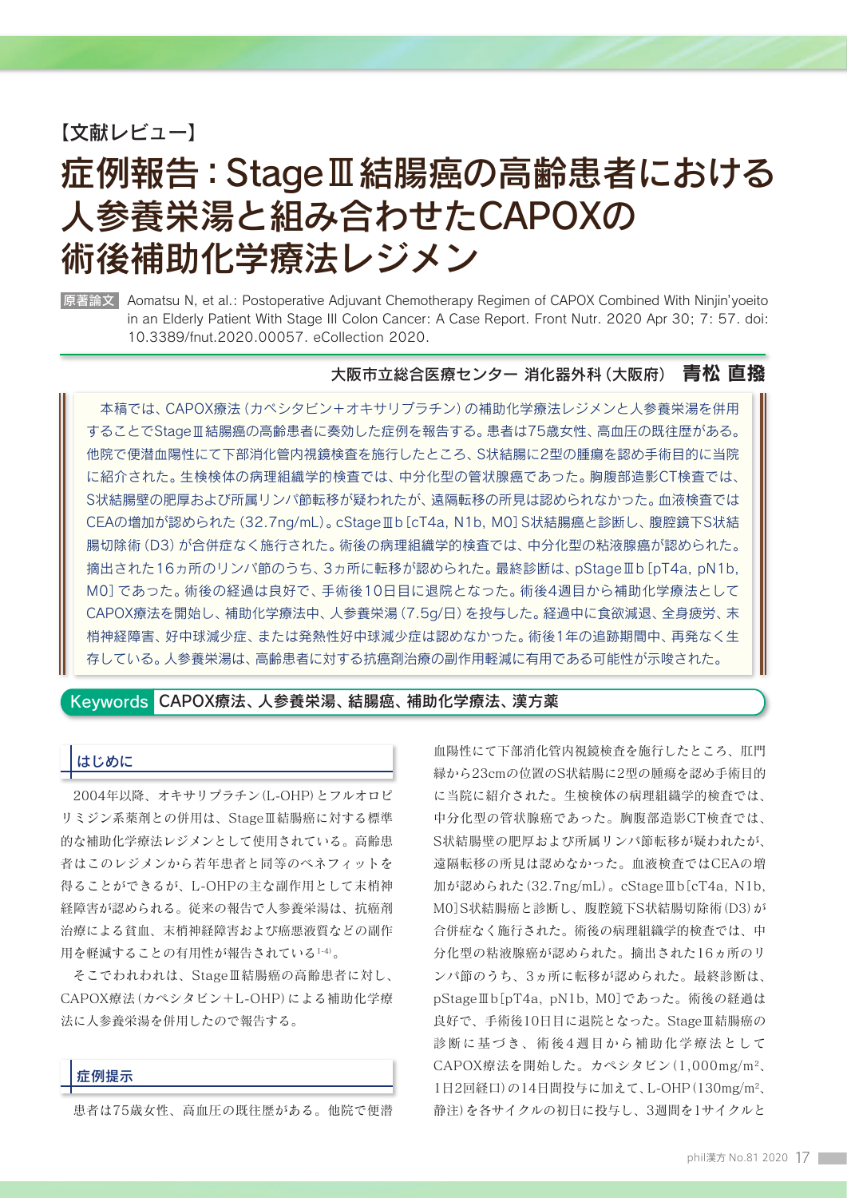## 【文献レビュー】

# 症例報告:StageⅢ結腸癌の高齢患者における 人参養栄湯と組み合わせたCAPOXの 術後補助化学療法レジメン

原著論文 Aomatsu N, et al.: Postoperative Adjuvant Chemotherapy Regimen of CAPOX Combined With Ninjin'yoeito in an Elderly Patient With Stage III Colon Cancer: A Case Report. Front Nutr. 2020 Apr 30; 7: 57. doi: 10.3389/fnut.2020.00057. eCollection 2020.

### 大阪市立総合医療センター 消化器外科(大阪府) 青松 直撥

本稿では、CAPOX療法(カペシタビン+オキサリプラチン)の補助化学療法レジメンと人参養栄湯を併用 することでStageⅢ結腸癌の高齢患者に奏効した症例を報告する。患者は75歳女性、高血圧の既往歴がある。 他院で便潜血陽性にて下部消化管内視鏡検査を施行したところ、S状結腸に2型の腫瘍を認め手術目的に当院 に紹介された。生検検体の病理組織学的検査では、中分化型の管状腺癌であった。胸腹部造影CT検査では、 S状結腸壁の肥厚および所属リンパ節転移が疑われたが、遠隔転移の所見は認められなかった。血液検査では CEAの増加が認められた(32.7ng/mL)。cStageⅢb[cT4a, N1b, M0]S状結腸癌と診断し、腹腔鏡下S状結 腸切除術(D3)が合併症なく施行された。術後の病理組織学的検査では、中分化型の粘液腺癌が認められた。 摘出された16ヵ所のリンパ節のうち、3ヵ所に転移が認められた。最終診断は、pStageⅢb[pT4a, pN1b, M0]であった。術後の経過は良好で、手術後10日目に退院となった。術後4週目から補助化学療法として CAPOX療法を開始し、補助化学療法中、人参養栄湯(7.5g/日)を投与した。経過中に食欲減退、全身疲労、末 梢神経障害、好中球減少症、または発熱性好中球減少症は認めなかった。術後1年の追跡期間中、再発なく生 存している。人参養栄湯は、高齢患者に対する抗癌剤治療の副作用軽減に有用である可能性が示唆された。

Keywords CAPOX療法、人参養栄湯、結腸癌、補助化学療法、漢方薬

#### はじめに

2004年以降、オキサリプラチン(L-OHP)とフルオロピ リミジン系薬剤との併用は、StageⅢ結腸癌に対する標準 的な補助化学療法レジメンとして使用されている。高齢患 者はこのレジメンから若年患者と同等のベネフィットを 得ることができるが、L-OHPの主な副作用として末梢神 経障害が認められる。従来の報告で人参養栄湯は、抗癌剤 治療による貧血、末梢神経障害および癌悪液質などの副作 用を軽減することの有用性が報告されている1-4)。

そこでわれわれは、StageⅢ結腸癌の高齢患者に対し、 CAPOX療法(カペシタビン+L-OHP)による補助化学療 法に人参養栄湯を併用したので報告する。



血陽性にて下部消化管内視鏡検査を施行したところ、肛門 縁から23cmの位置のS状結腸に2型の腫瘍を認め手術目的 に当院に紹介された。生検検体の病理組織学的検査では、 中分化型の管状腺癌であった。胸腹部造影CT検査では、 S状結腸壁の肥厚および所属リンパ節転移が疑われたが、 遠隔転移の所見は認めなかった。血液検査ではCEAの増 加が認められた(32.7ng/mL)。cStageⅢb[cT4a, N1b, M0]S状結腸癌と診断し、腹腔鏡下S状結腸切除術(D3)が 合併症なく施行された。術後の病理組織学的検査では、中 分化型の粘液腺癌が認められた。摘出された16ヵ所のリ ンパ節のうち、3ヵ所に転移が認められた。最終診断は、 pStageⅢb[pT4a, pN1b, M0]であった。術後の経過は 良好で、手術後10日目に退院となった。StageⅢ結腸癌の 診断に基づき、術後4週目から補助化学療法として CAPOX療法を開始した。カペシタビン(1,000mg/m2、 1日2回経口)の14日間投与に加えて、L-OHP(130mg/m2、 静注)を各サイクルの初日に投与し、3週間を1サイクルと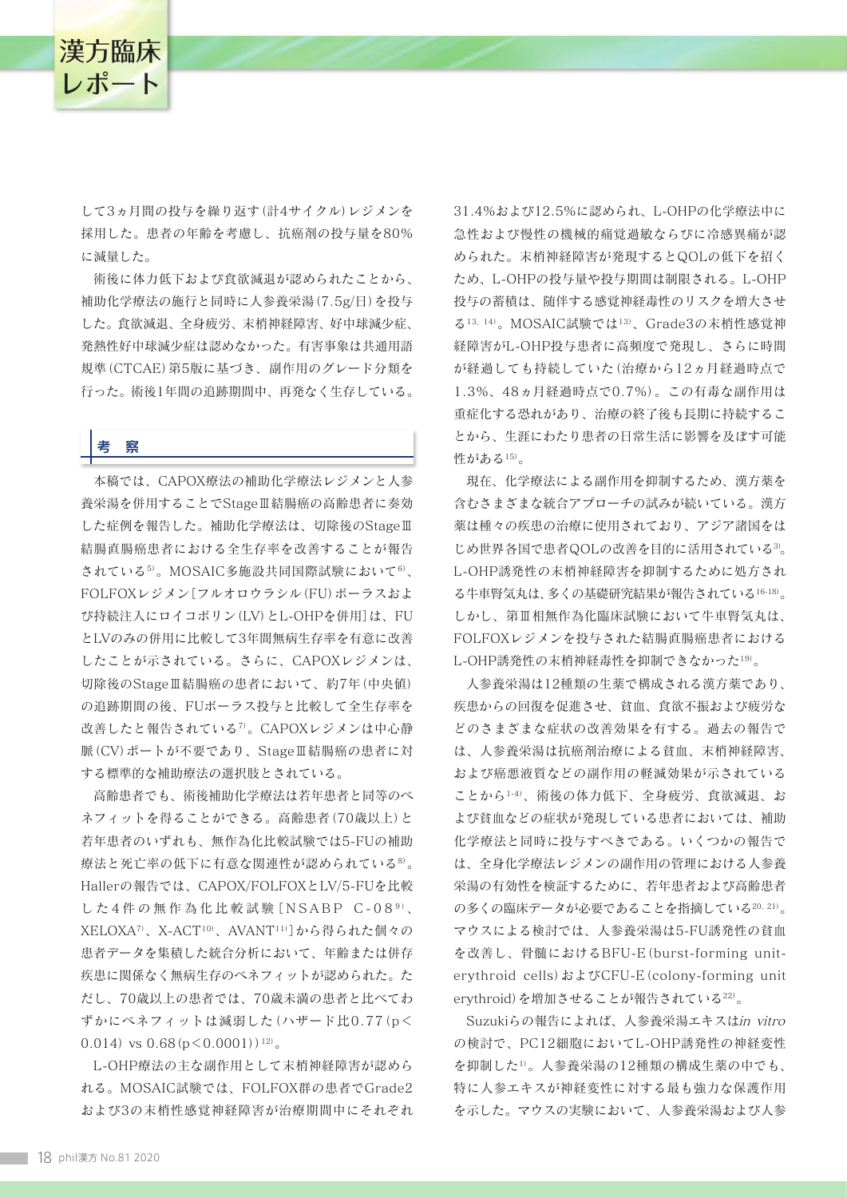漢方臨床 レポート

して3ヵ月間の投与を繰り返す(計4サイクル)レジメンを 採用した。患者の年齢を考慮し、抗癌剤の投与量を80% に減量した。

術後に体力低下および食欲減退が認められたことから、 補助化学療法の施行と同時に人参養栄湯(7.5g/日)を投与 した。食欲減退、全身疲労、末梢神経障害、好中球減少症、 発熱性好中球減少症は認めなかった。有害事象は共通用語 規準(CTCAE)第5版に基づき、副作用のグレード分類を 行った。術後1年間の追跡期間中、再発なく生存している。

### 考 察

本稿では、CAPOX療法の補助化学療法レジメンと人参 養栄湯を併用することでStageⅢ結腸癌の高齢患者に奏効 した症例を報告した。補助化学療法は、切除後のStageⅢ 結腸直腸癌患者における全生存率を改善することが報告 されている5)。MOSAIC多施設共同国際試験において6)、 FOLFOXレジメン[フルオロウラシル(FU)ボーラスおよ び持続注入にロイコボリン(LV)とL-OHPを併用]は、FU とLVのみの併用に比較して3年間無病生存率を有意に改善 したことが示されている。さらに、CAPOXレジメンは、 切除後のStageⅢ結腸癌の患者において、約7年(中央値) の追跡期間の後、FUボーラス投与と比較して全生存率を 改善したと報告されている7)。CAPOXレジメンは中心静 脈(CV)ポートが不要であり、StageⅢ結腸癌の患者に対 する標準的な補助療法の選択肢とされている。

高齢患者でも、術後補助化学療法は若年患者と同等のベ ネフィットを得ることができる。高齢患者(70歳以上)と 若年患者のいずれも、無作為化比較試験では5-FUの補助 療法と死亡率の低下に有意な関連性が認められている8)。 Hallerの報告では、CAPOX/FOLFOXとLV/5-FUを比較 した4件の無作為化比較試験 [NSABP C-089)、 XELOXA7)、X-ACT10)、AVANT11)]から得られた個々の 患者データを集積した統合分析において、年齢または併存 疾患に関係なく無病生存のベネフィットが認められた。た だし、70歳以上の患者では、70歳未満の患者と比べてわ ずかにベネフィットは減弱した(ハザード比0.77(p< 0.014) vs  $0.68(p \le 0.0001)$ <sup>12)</sup>。

L-OHP療法の主な副作用として末梢神経障害が認めら れる。MOSAIC試験では、FOLFOX群の患者でGrade2 および3の末梢性感覚神経障害が治療期間中にそれぞれ 31.4%および12.5%に認められ、L-OHPの化学療法中に 急性および慢性の機械的痛覚過敏ならびに冷感異痛が認 められた。末梢神経障害が発現するとQOLの低下を招く ため、L-OHPの投与量や投与期間は制限される。L-OHP 投与の蓄積は、随伴する感覚神経毒性のリスクを増大させ る13, 14)。MOSAIC試験では13)、Grade3の末梢性感覚神 経障害がL-OHP投与患者に高頻度で発現し、さらに時間 が経過しても持続していた(治療から12ヵ月経過時点で 1.3%、48ヵ月経過時点で0.7%)。この有毒な副作用は 重症化する恐れがあり、治療の終了後も長期に持続するこ とから、生涯にわたり患者の日常生活に影響を及ぼす可能 性がある15)。

現在、化学療法による副作用を抑制するため、漢方薬を 含むさまざまな統合アプローチの試みが続いている。漢方 薬は種々の疾患の治療に使用されており、アジア諸国をは じめ世界各国で患者QOLの改善を目的に活用されている3)。 L-OHP誘発性の末梢神経障害を抑制するために処方され る牛車腎気丸は、多くの基礎研究結果が報告されている16-18)。 しかし、第Ⅲ相無作為化臨床試験において牛車腎気丸は、 FOLFOXレジメンを投与された結腸直腸癌患者における L-OHP誘発性の末梢神経毒性を抑制できなかった19)。

人参養栄湯は12種類の生薬で構成される漢方薬であり、 疾患からの回復を促進させ、貧血、食欲不振および疲労な どのさまざまな症状の改善効果を有する。過去の報告で は、人参養栄湯は抗癌剤治療による貧血、末梢神経障害、 および癌悪液質などの副作用の軽減効果が示されている ことから1-4)、術後の体力低下、全身疲労、食欲減退、お よび貧血などの症状が発現している患者においては、補助 化学療法と同時に投与すべきである。いくつかの報告で は、全身化学療法レジメンの副作用の管理における人参養 栄湯の有効性を検証するために、若年患者および高齢患者 の多くの臨床データが必要であることを指摘している20, 21)。 マウスによる検討では、人参養栄湯は5-FU誘発性の貧血 を改善し、骨髄におけるBFU-E(burst-forming uniterythroid cells)およびCFU-E(colony-forming unit ervthroid)を増加させることが報告されている<sup>22)</sup>。

Suzukiらの報告によれば、人参養栄湯エキスはin vitro の検討で、PC12細胞においてL-OHP誘発性の神経変性 を抑制した1)。人参養栄湯の12種類の構成生薬の中でも、 特に人参エキスが神経変性に対する最も強力な保護作用 を示した。マウスの実験において、人参養栄湯および人参